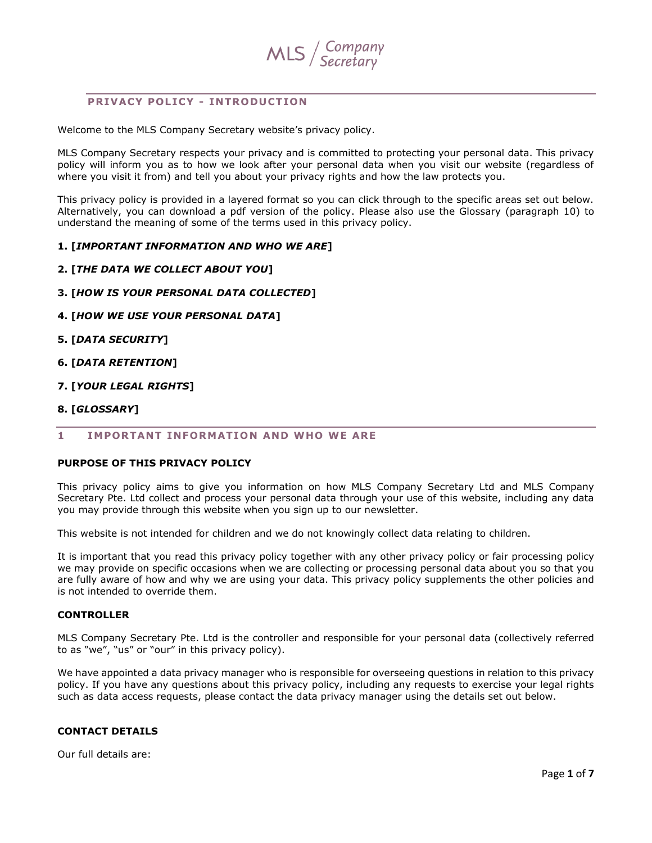

## **PRIVACY POLICY - INTRODUCTION**

Welcome to the MLS Company Secretary website's privacy policy.

MLS Company Secretary respects your privacy and is committed to protecting your personal data. This privacy policy will inform you as to how we look after your personal data when you visit our website (regardless of where you visit it from) and tell you about your privacy rights and how the law protects you.

This privacy policy is provided in a layered format so you can click through to the specific areas set out below. Alternatively, you can download a pdf version of the policy. Please also use the Glossary (paragraph 10) to understand the meaning of some of the terms used in this privacy policy.

## **1. [***IMPORTANT INFORMATION AND WHO WE ARE***]**

- **2. [***THE DATA WE COLLECT ABOUT YOU***]**
- **3. [***HOW IS YOUR PERSONAL DATA COLLECTED***]**
- **4. [***HOW WE USE YOUR PERSONAL DATA***]**
- **5. [***DATA SECURITY***]**
- **6. [***DATA RETENTION***]**
- **7. [***YOUR LEGAL RIGHTS***]**

#### **8. [***GLOSSARY***]**

#### **1 IMPORTANT INFORMATION AND WHO WE ARE**

## **PURPOSE OF THIS PRIVACY POLICY**

This privacy policy aims to give you information on how MLS Company Secretary Ltd and MLS Company Secretary Pte. Ltd collect and process your personal data through your use of this website, including any data you may provide through this website when you sign up to our newsletter.

This website is not intended for children and we do not knowingly collect data relating to children.

It is important that you read this privacy policy together with any other privacy policy or fair processing policy we may provide on specific occasions when we are collecting or processing personal data about you so that you are fully aware of how and why we are using your data. This privacy policy supplements the other policies and is not intended to override them.

### **CONTROLLER**

MLS Company Secretary Pte. Ltd is the controller and responsible for your personal data (collectively referred to as "we", "us" or "our" in this privacy policy).

We have appointed a data privacy manager who is responsible for overseeing questions in relation to this privacy policy. If you have any questions about this privacy policy, including any requests to exercise your legal rights such as data access requests, please contact the data privacy manager using the details set out below.

## <span id="page-0-0"></span>**CONTACT DETAILS**

Our full details are: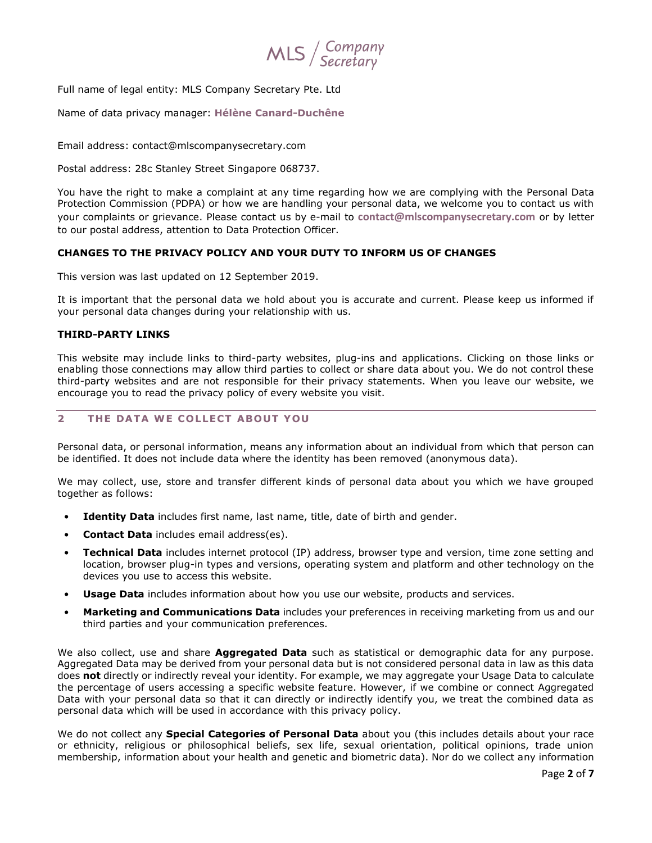

Full name of legal entity: MLS Company Secretary Pte. Ltd

Name of data privacy manager: **Hélène Canard-Duchêne**

Email address: contact@mlscompanysecretary.com

Postal address: 28c Stanley Street Singapore 068737.

You have the right to make a complaint at any time regarding how we are complying with the Personal Data Protection Commission (PDPA) or how we are handling your personal data, we welcome you to contact us with your complaints or grievance. Please contact us by e-mail to **[contact@mlscompanysecretary.com](mailto:contact@mlscompanysecretary.com)** or by letter to our postal address, attention to Data Protection Officer.

## **CHANGES TO THE PRIVACY POLICY AND YOUR DUTY TO INFORM US OF CHANGES**

This version was last updated on 12 September 2019.

It is important that the personal data we hold about you is accurate and current. Please keep us informed if your personal data changes during your relationship with us.

## **THIRD-PARTY LINKS**

This website may include links to third-party websites, plug-ins and applications. Clicking on those links or enabling those connections may allow third parties to collect or share data about you. We do not control these third-party websites and are not responsible for their privacy statements. When you leave our website, we encourage you to read the privacy policy of every website you visit.

# **2 THE DATA WE COLLECT ABOUT YOU**

Personal data, or personal information, means any information about an individual from which that person can be identified. It does not include data where the identity has been removed (anonymous data).

We may collect, use, store and transfer different kinds of personal data about you which we have grouped together as follows:

- **Identity Data** includes first name, last name, title, date of birth and gender.
- **Contact Data** includes email address(es).
- **Technical Data** includes internet protocol (IP) address, browser type and version, time zone setting and location, browser plug-in types and versions, operating system and platform and other technology on the devices you use to access this website.
- **Usage Data** includes information about how you use our website, products and services.
- **Marketing and Communications Data** includes your preferences in receiving marketing from us and our third parties and your communication preferences.

We also collect, use and share **Aggregated Data** such as statistical or demographic data for any purpose. Aggregated Data may be derived from your personal data but is not considered personal data in law as this data does **not** directly or indirectly reveal your identity. For example, we may aggregate your Usage Data to calculate the percentage of users accessing a specific website feature. However, if we combine or connect Aggregated Data with your personal data so that it can directly or indirectly identify you, we treat the combined data as personal data which will be used in accordance with this privacy policy.

We do not collect any **Special Categories of Personal Data** about you (this includes details about your race or ethnicity, religious or philosophical beliefs, sex life, sexual orientation, political opinions, trade union membership, information about your health and genetic and biometric data). Nor do we collect any information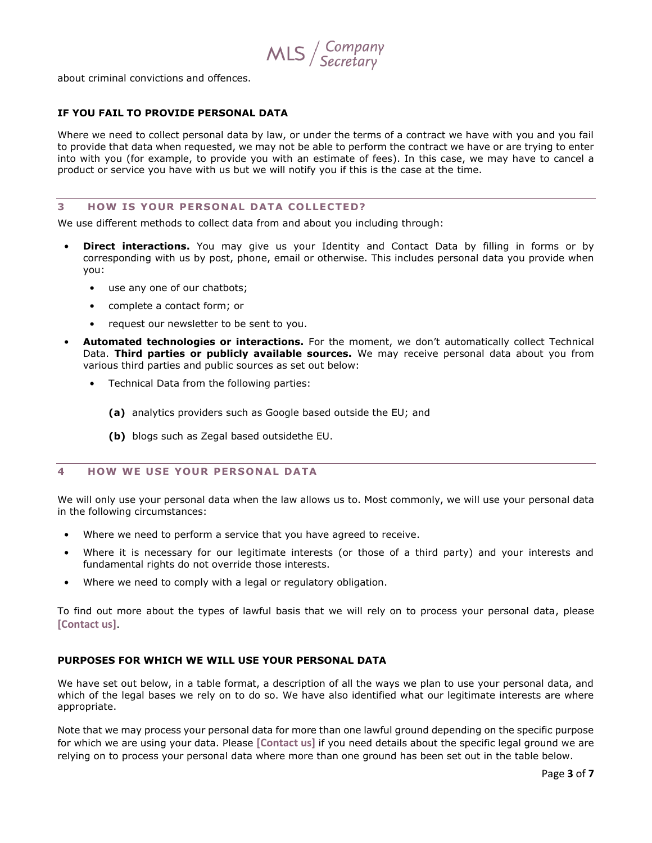$MLS /$  Company

about criminal convictions and offences.

### **IF YOU FAIL TO PROVIDE PERSONAL DATA**

Where we need to collect personal data by law, or under the terms of a contract we have with you and you fail to provide that data when requested, we may not be able to perform the contract we have or are trying to enter into with you (for example, to provide you with an estimate of fees). In this case, we may have to cancel a product or service you have with us but we will notify you if this is the case at the time.

### **3 HOW IS YOUR PERSONAL DATA COLLECTED?**

We use different methods to collect data from and about you including through:

- **Direct interactions.** You may give us your Identity and Contact Data by filling in forms or by corresponding with us by post, phone, email or otherwise. This includes personal data you provide when you:
	- use any one of our chatbots;
	- complete a contact form; or
	- request our newsletter to be sent to you.
- **Automated technologies or interactions.** For the moment, we don't automatically collect Technical Data. **Third parties or publicly available sources.** We may receive personal data about you from various third parties and public sources as set out below:
	- Technical Data from the following parties:
		- **(a)** analytics providers such as Google based outside the EU; and
		- **(b)** blogs such as Zegal based outsidethe EU.

## **4 HOW WE USE YOUR PERSONAL DATA**

We will only use your personal data when the law allows us to. Most commonly, we will use your personal data in the following circumstances:

- Where we need to perform a service that you have agreed to receive.
- Where it is necessary for our legitimate interests (or those of a third party) and your interests and fundamental rights do not override those interests.
- Where we need to comply with a legal or regulatory obligation.

To find out more about the types of lawful basis that we will rely on to process your personal data, please **[\[Contact us\]](#page-0-0)**.

### **PURPOSES FOR WHICH WE WILL USE YOUR PERSONAL DATA**

We have set out below, in a table format, a description of all the ways we plan to use your personal data, and which of the legal bases we rely on to do so. We have also identified what our legitimate interests are where appropriate.

Note that we may process your personal data for more than one lawful ground depending on the specific purpose for which we are using your data. Please **[\[Contact us\]](#page-0-0)** if you need details about the specific legal ground we are relying on to process your personal data where more than one ground has been set out in the table below.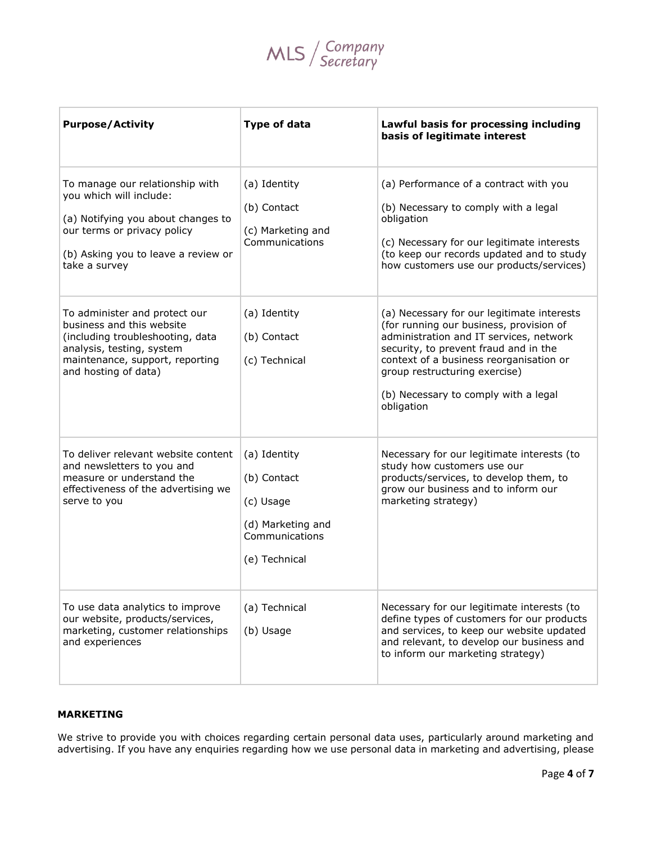

| <b>Purpose/Activity</b>                                                                                                                                                                 | <b>Type of data</b>                                                                              | Lawful basis for processing including<br>basis of legitimate interest                                                                                                                                                                                                                                       |
|-----------------------------------------------------------------------------------------------------------------------------------------------------------------------------------------|--------------------------------------------------------------------------------------------------|-------------------------------------------------------------------------------------------------------------------------------------------------------------------------------------------------------------------------------------------------------------------------------------------------------------|
| To manage our relationship with<br>you which will include:<br>(a) Notifying you about changes to<br>our terms or privacy policy<br>(b) Asking you to leave a review or<br>take a survey | (a) Identity<br>(b) Contact<br>(c) Marketing and<br>Communications                               | (a) Performance of a contract with you<br>(b) Necessary to comply with a legal<br>obligation<br>(c) Necessary for our legitimate interests<br>(to keep our records updated and to study<br>how customers use our products/services)                                                                         |
| To administer and protect our<br>business and this website<br>(including troubleshooting, data<br>analysis, testing, system<br>maintenance, support, reporting<br>and hosting of data)  | (a) Identity<br>(b) Contact<br>(c) Technical                                                     | (a) Necessary for our legitimate interests<br>(for running our business, provision of<br>administration and IT services, network<br>security, to prevent fraud and in the<br>context of a business reorganisation or<br>group restructuring exercise)<br>(b) Necessary to comply with a legal<br>obligation |
| To deliver relevant website content<br>and newsletters to you and<br>measure or understand the<br>effectiveness of the advertising we<br>serve to you                                   | (a) Identity<br>(b) Contact<br>(c) Usage<br>(d) Marketing and<br>Communications<br>(e) Technical | Necessary for our legitimate interests (to<br>study how customers use our<br>products/services, to develop them, to<br>grow our business and to inform our<br>marketing strategy)                                                                                                                           |
| To use data analytics to improve<br>our website, products/services,<br>marketing, customer relationships<br>and experiences                                                             | (a) Technical<br>(b) Usage                                                                       | Necessary for our legitimate interests (to<br>define types of customers for our products<br>and services, to keep our website updated<br>and relevant, to develop our business and<br>to inform our marketing strategy)                                                                                     |

# **MARKETING**

We strive to provide you with choices regarding certain personal data uses, particularly around marketing and advertising. If you have any enquiries regarding how we use personal data in marketing and advertising, please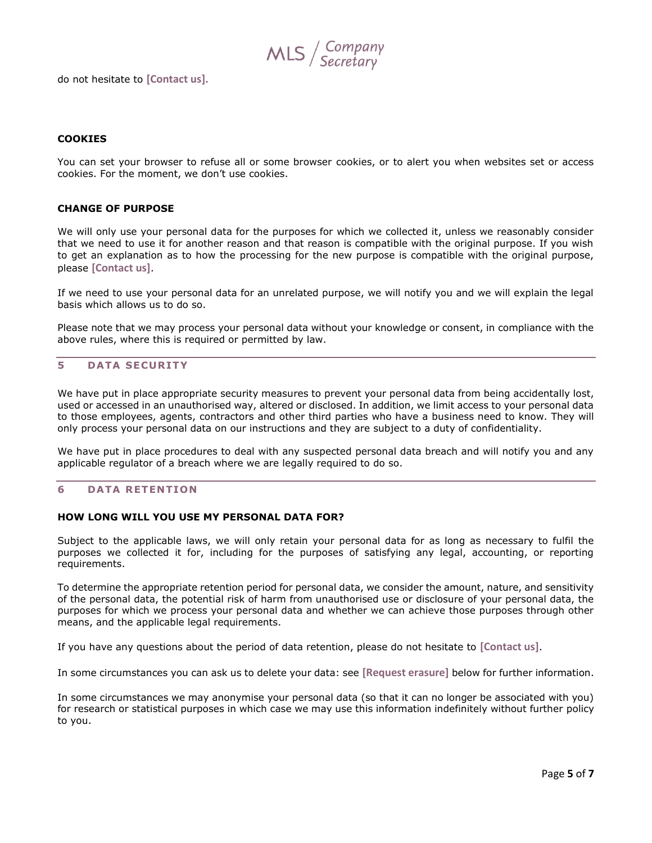$MLS /$  Company

do not hesitate to **[\[Contact us\]](#page-0-0).**

### **COOKIES**

You can set your browser to refuse all or some browser cookies, or to alert you when websites set or access cookies. For the moment, we don't use cookies.

### **CHANGE OF PURPOSE**

We will only use your personal data for the purposes for which we collected it, unless we reasonably consider that we need to use it for another reason and that reason is compatible with the original purpose. If you wish to get an explanation as to how the processing for the new purpose is compatible with the original purpose, please **[\[Contact us\]](#page-0-0)**.

If we need to use your personal data for an unrelated purpose, we will notify you and we will explain the legal basis which allows us to do so.

Please note that we may process your personal data without your knowledge or consent, in compliance with the above rules, where this is required or permitted by law.

## **5 DATA SECUR ITY**

We have put in place appropriate security measures to prevent your personal data from being accidentally lost, used or accessed in an unauthorised way, altered or disclosed. In addition, we limit access to your personal data to those employees, agents, contractors and other third parties who have a business need to know. They will only process your personal data on our instructions and they are subject to a duty of confidentiality.

We have put in place procedures to deal with any suspected personal data breach and will notify you and any applicable regulator of a breach where we are legally required to do so.

### **6 DATA RETENTION**

### **HOW LONG WILL YOU USE MY PERSONAL DATA FOR?**

Subject to the applicable laws, we will only retain your personal data for as long as necessary to fulfil the purposes we collected it for, including for the purposes of satisfying any legal, accounting, or reporting requirements.

To determine the appropriate retention period for personal data, we consider the amount, nature, and sensitivity of the personal data, the potential risk of harm from unauthorised use or disclosure of your personal data, the purposes for which we process your personal data and whether we can achieve those purposes through other means, and the applicable legal requirements.

If you have any questions about the period of data retention, please do not hesitate to **[\[Contact us\]](#page-0-0)**.

In some circumstances you can ask us to delete your data: see **[Request erasure]** below for further information.

In some circumstances we may anonymise your personal data (so that it can no longer be associated with you) for research or statistical purposes in which case we may use this information indefinitely without further policy to you.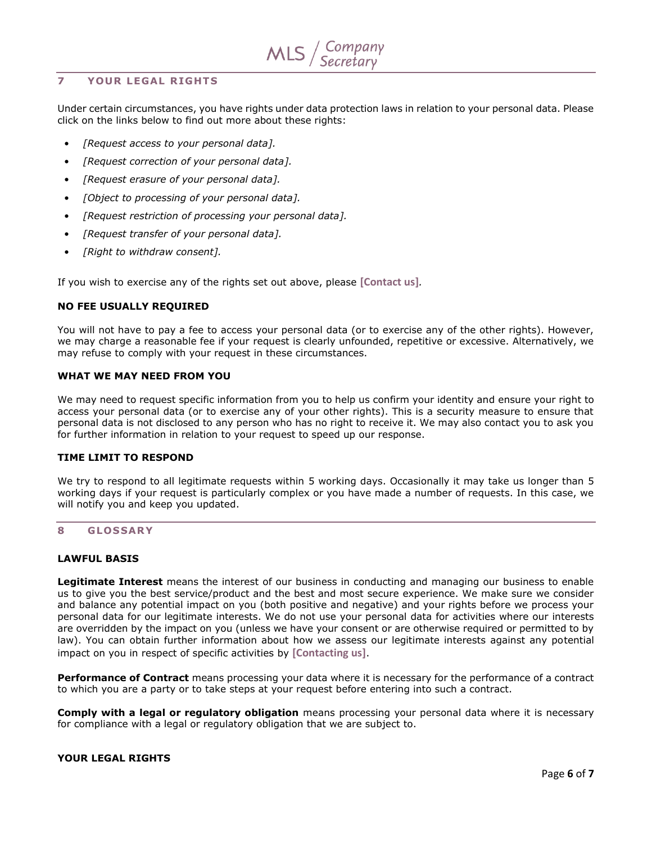## **7 YOUR LEGAL R IGHTS**

Under certain circumstances, you have rights under data protection laws in relation to your personal data. Please click on the links below to find out more about these rights:

- *• [Request access to your personal data].*
- *• [Request correction of your personal data].*
- *• [Request erasure of your personal data].*
- *• [Object to processing of your personal data].*
- *• [Request restriction of processing your personal data].*
- *• [Request transfer of your personal data].*
- *• [Right to withdraw consent].*

If you wish to exercise any of the rights set out above, please **[\[Contact us\]](#page-0-0)***.* 

## **NO FEE USUALLY REQUIRED**

You will not have to pay a fee to access your personal data (or to exercise any of the other rights). However, we may charge a reasonable fee if your request is clearly unfounded, repetitive or excessive. Alternatively, we may refuse to comply with your request in these circumstances.

## **WHAT WE MAY NEED FROM YOU**

We may need to request specific information from you to help us confirm your identity and ensure your right to access your personal data (or to exercise any of your other rights). This is a security measure to ensure that personal data is not disclosed to any person who has no right to receive it. We may also contact you to ask you for further information in relation to your request to speed up our response.

## **TIME LIMIT TO RESPOND**

We try to respond to all legitimate requests within 5 working days. Occasionally it may take us longer than 5 working days if your request is particularly complex or you have made a number of requests. In this case, we will notify you and keep you updated.

## **8 GLOSSAR Y**

## **LAWFUL BASIS**

**Legitimate Interest** means the interest of our business in conducting and managing our business to enable us to give you the best service/product and the best and most secure experience. We make sure we consider and balance any potential impact on you (both positive and negative) and your rights before we process your personal data for our legitimate interests. We do not use your personal data for activities where our interests are overridden by the impact on you (unless we have your consent or are otherwise required or permitted to by law). You can obtain further information about how we assess our legitimate interests against any potential impact on you in respect of specific activities by **[\[Contacting us\]](#page-0-0)**.

**Performance of Contract** means processing your data where it is necessary for the performance of a contract to which you are a party or to take steps at your request before entering into such a contract.

**Comply with a legal or regulatory obligation** means processing your personal data where it is necessary for compliance with a legal or regulatory obligation that we are subject to.

## **YOUR LEGAL RIGHTS**